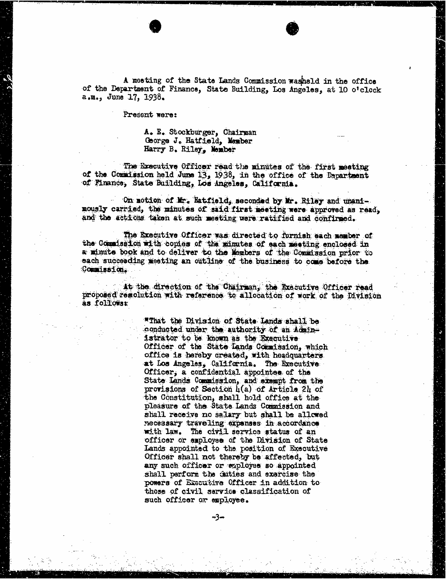A mosting of the State Lands Commission washeld in the office of the Department of Finance, State Building, Los Angeles, at 10 o'clock a.m., June 17, 1938.

Present were:

## A. E. Stockburger, Chairman George J. Hatfield, Member Harry B. Riley, Member

The Brecutive Officer read the minutes of the first meeting of the Commission held June 13, 1938, in the office of the Department of Finance, State Building, Los Angeles, California.

On motion of Mr. Hatfield, seconded by Mr. Riley and unanimously carried, the minutes of said first meeting were approved as read, and the actions taken at such meeting ware ratified and confirmed.

The Executive Officer was directed to furnish each member of the Commission with copies of the minutes of each meeting enclosed in a minute book and to deliver to the Members of the Commission prior to each succeeding meeting an outline of the business to come before the Commission. .

At the direction of the Chairman, the Executive Officer read proposed resolution with reference to allocation of work of the Division as followsz

> "That the Division of State Lands shall be conducted under the authority of an Adainistrator to be known as the Executive Officer of the State Lands Commission, which office is hereby created, with headquarters at Los Angeles, California. The Executive Officer, a confidential appointee of the State Lands Commission, and exempt from the provisions of Section 4(a) of Article 24 of the Constitution, shall hold office at the pleasure of the State Lands Commission and shall receive no salary but shall be allowed necessary traveling expenses in accordance with law. The civil service status of an officer or employee of the Division of State Lands appointed to the position of Executive Officer shall not thereby be affected, but any such officer or employes so appointed shall perform the cities and exercise the powers of Executive Officer in addition to those of civil service classification of such officer or employee.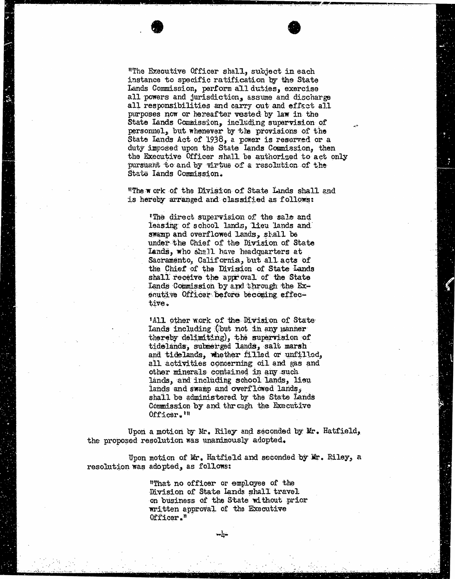"The Executive Officer shall, subject in each instance to specific ratification by the State Lands Commission, perform all duties, exercise all powers and jurisdiction, assume and discharge all responsibilities and carry out and effect all purposes now or hereafter vested by law in the State Lands Commission, including supervision of personnel, but whenever by the provisions of the State Lands Act of 1938, a power is reserved or a duty imposed upon the State Lands Commission, then the Executive Officer shall be authorized to act only pursuant to and by virtue of a resolution of the State lands Commission.

"The work of the Division of State Lands shall and is hereby arranged and classified as follows:

The direct supervision of the sale and leasing of school lands, lieu lands and swamp and overflowed Lands, shall be under the Chief of the Division of State Lands, who shall have headquarters at Sacramento, California, but all acts of the Chief of the Division of State Lands shall receive the approval of the State Lands Commission by and through the Exenutive Officer before becoming effective.

All other work of the Division of State Lands including (but not in any inanner thereby delimiting), the supervision of tidelands, submerged lands, salt marsh and tidelands, whether filled or unfilled, all activities concerning oil and gas and other minerals contained in any such lands, and including school lands, lieu lands and swamp and overflowed lands, shall be administered by the State Lands Commission by and through the Executive Officer.'"

Upon a motion by Mr. Riley and seconded by Mr. Hatfield, the proposed resolution was unanimously adopted.

Upon motion of Mr. Hatfield and seconded by Mr. Riley, a resolution was adopted, as follows:

> "That no officer or employee of the Division of State lands shall travel on business of the State without prior written approval of the Executive Officer ."